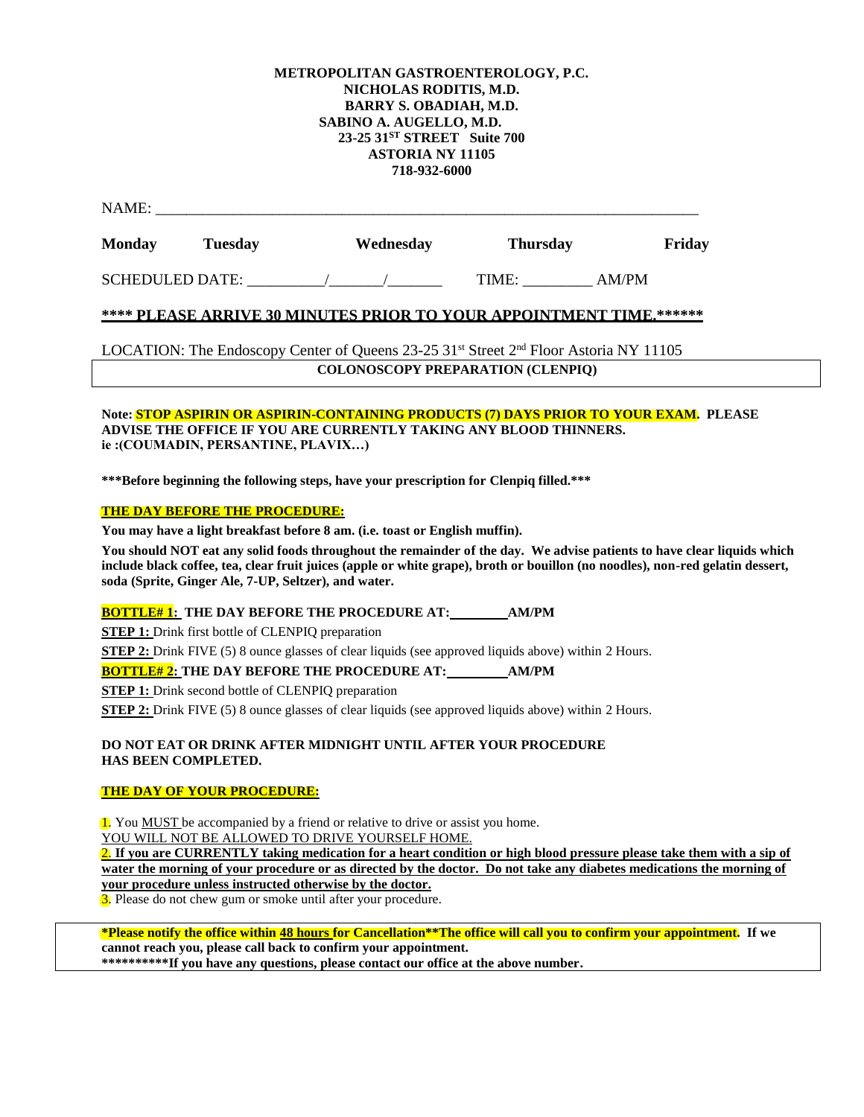#### **METROPOLITAN GASTROENTEROLOGY, P.C. NICHOLAS RODITIS, M.D. BARRY S. OBADIAH, M.D. SABINO A. AUGELLO, M.D. 23-25 31ST STREET Suite 700 ASTORIA NY 11105 718-932-6000**

|--|

| <b>SCHEDULED DATE:</b> | TIME<br> | $\sqrt{D}$ |
|------------------------|----------|------------|

# **\*\*\*\* PLEASE ARRIVE 30 MINUTES PRIOR TO YOUR APPOINTMENT TIME.\*\*\*\*\*\***

LOCATION: The Endoscopy Center of Queens  $23{\text -}25$  31st Street 2<sup>nd</sup> Floor Astoria NY 11105 **COLONOSCOPY PREPARATION (CLENPIQ)**

#### **Note: STOP ASPIRIN OR ASPIRIN-CONTAINING PRODUCTS (7) DAYS PRIOR TO YOUR EXAM. PLEASE ADVISE THE OFFICE IF YOU ARE CURRENTLY TAKING ANY BLOOD THINNERS. ie :(COUMADIN, PERSANTINE, PLAVIX…)**

**\*\*\*Before beginning the following steps, have your prescription for Clenpiq filled.\*\*\***

#### **THE DAY BEFORE THE PROCEDURE:**

**You may have a light breakfast before 8 am. (i.e. toast or English muffin).**

**You should NOT eat any solid foods throughout the remainder of the day. We advise patients to have clear liquids which include black coffee, tea, clear fruit juices (apple or white grape), broth or bouillon (no noodles), non-red gelatin dessert, soda (Sprite, Ginger Ale, 7-UP, Seltzer), and water.**

## **BOTTLE# 1: THE DAY BEFORE THE PROCEDURE AT: AM/PM**

**STEP 1:** Drink first bottle of CLENPIQ preparation

**STEP 2:** Drink FIVE (5) 8 ounce glasses of clear liquids (see approved liquids above) within 2 Hours.

**BOTTLE# 2: THE DAY BEFORE THE PROCEDURE AT: AM/PM**

**STEP 1:** Drink second bottle of CLENPIQ preparation

**STEP 2:** Drink FIVE (5) 8 ounce glasses of clear liquids (see approved liquids above) within 2 Hours.

#### **DO NOT EAT OR DRINK AFTER MIDNIGHT UNTIL AFTER YOUR PROCEDURE HAS BEEN COMPLETED.**

## **THE DAY OF YOUR PROCEDURE:**

1. You MUST be accompanied by a friend or relative to drive or assist you home. YOU WILL NOT BE ALLOWED TO DRIVE YOURSELF HOME.

2. **If you are CURRENTLY taking medication for a heart condition or high blood pressure please take them with a sip of water the morning of your procedure or as directed by the doctor. Do not take any diabetes medications the morning of your procedure unless instructed otherwise by the doctor.** 

3. Please do not chew gum or smoke until after your procedure.

**\*Please notify the office within 48 hours for Cancellation\*\*The office will call you to confirm your appointment. If we cannot reach you, please call back to confirm your appointment.** 

**\*\*\*\*\*\*\*\*\*\*If you have any questions, please contact our office at the above number.**